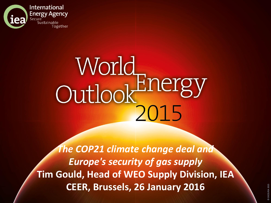

## World<br>Outlook<sup>Energy</sup>

*The COP21 climate change deal and Europe's security of gas supply* **Tim Gould, Head of WEO Supply Division, IEA CEER, Brussels, 26 January 2016**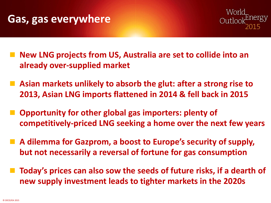



- **New LNG projects from US, Australia are set to collide into an already over-supplied market**
- **Asian markets unlikely to absorb the glut: after a strong rise to 2013, Asian LNG imports flattened in 2014 & fell back in 2015**
- **Opportunity for other global gas importers: plenty of competitively-priced LNG seeking a home over the next few years**
- A dilemma for Gazprom, a boost to Europe's security of supply, **but not necessarily a reversal of fortune for gas consumption**
- **Today's prices can also sow the seeds of future risks, if a dearth of new supply investment leads to tighter markets in the 2020s**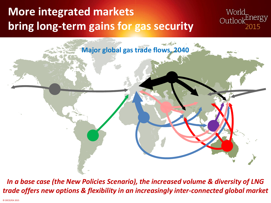## **More integrated markets bring long-term gains for gas security**





*In a base case (the New Policies Scenario), the increased volume & diversity of LNG trade offers new options & flexibility in an increasingly inter-connected global market*

© OECD/IEA 2015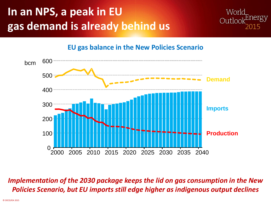## **In an NPS, a peak in EU gas demand is already behind us**



**EU gas balance in the New Policies Scenario**



*Implementation of the 2030 package keeps the lid on gas consumption in the New Policies Scenario, but EU imports still edge higher as indigenous output declines*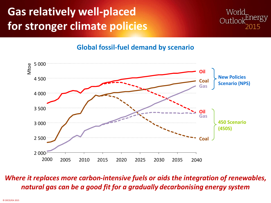## **Gas relatively well-placed for stronger climate policies**



#### **Global fossil-fuel demand by scenario**



#### *Where it replaces more carbon-intensive fuels or aids the integration of renewables, natural gas can be a good fit for a gradually decarbonising energy system*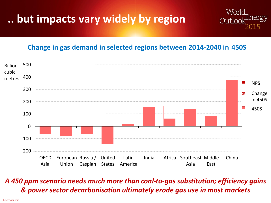## **.. but impacts vary widely by region**

#### **Change in gas demand in selected regions between 2014-2040 in 450S**

Worl



#### *A 450 ppm scenario needs much more than coal-to-gas substitution; efficiency gains & power sector decarbonisation ultimately erode gas use in most markets*

© OECD/IEA 2015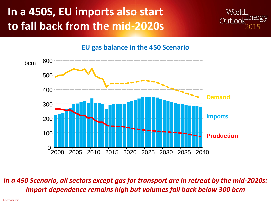## **In a 450S, EU imports also start to fall back from the mid-2020s**





#### **EU gas balance in the 450 Scenario**

*In a 450 Scenario, all sectors except gas for transport are in retreat by the mid-2020s: import dependence remains high but volumes fall back below 300 bcm*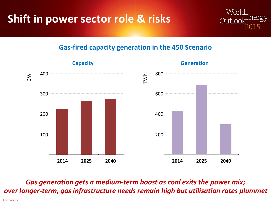

#### **Gas-fired capacity generation in the 450 Scenario**



*Gas generation gets a medium-term boost as coal exits the power mix; over longer-term, gas infrastructure needs remain high but utilisation rates plummet* 

© OECD/IEA 2015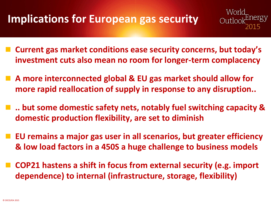### **Implications for European gas security**

- **Current gas market conditions ease security concerns, but today's investment cuts also mean no room for longer-term complacency**
- **A more interconnected global & EU gas market should allow for more rapid reallocation of supply in response to any disruption..**
- .. but some domestic safety nets, notably fuel switching capacity & **domestic production flexibility, are set to diminish**
- **EU remains a major gas user in all scenarios, but greater efficiency & low load factors in a 450S a huge challenge to business models**
- **COP21 hastens a shift in focus from external security (e.g. import dependence) to internal (infrastructure, storage, flexibility)**